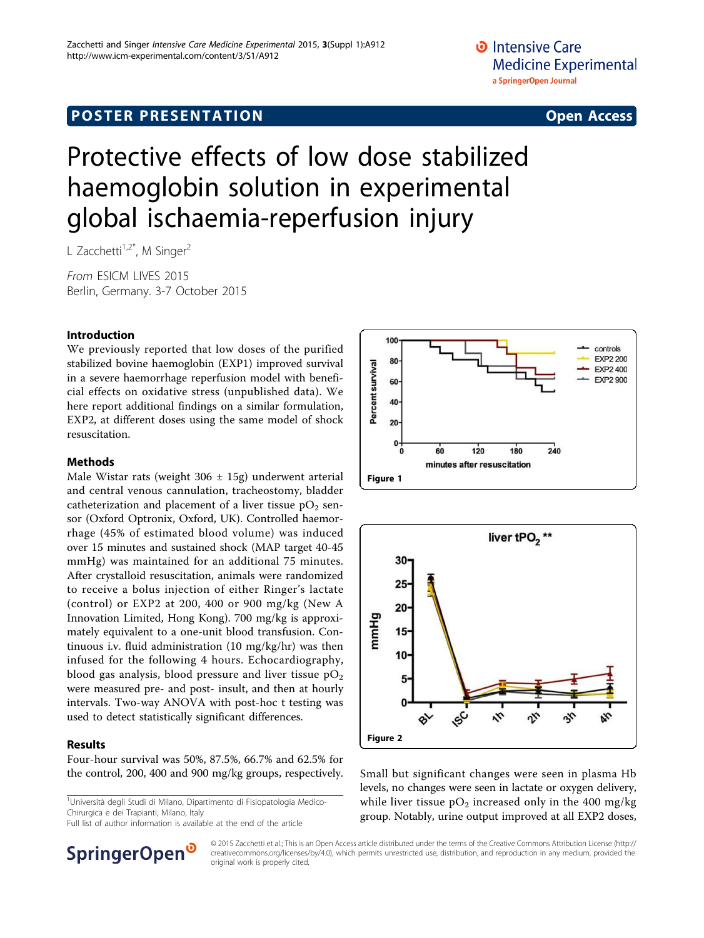# **POSTER PRESENTATION CONSUMING THE SERVICE SERVICE SERVICES**

# Protective effects of low dose stabilized haemoglobin solution in experimental global ischaemia-reperfusion injury

L Zacchetti<sup>1,2\*</sup>, M Singer<sup>2</sup>

From ESICM LIVES 2015 Berlin, Germany. 3-7 October 2015

### Introduction

We previously reported that low doses of the purified stabilized bovine haemoglobin (EXP1) improved survival in a severe haemorrhage reperfusion model with beneficial effects on oxidative stress (unpublished data). We here report additional findings on a similar formulation, EXP2, at different doses using the same model of shock resuscitation.

#### Methods

Male Wistar rats (weight  $306 \pm 15$ g) underwent arterial and central venous cannulation, tracheostomy, bladder catheterization and placement of a liver tissue  $pO<sub>2</sub>$  sensor (Oxford Optronix, Oxford, UK). Controlled haemorrhage (45% of estimated blood volume) was induced over 15 minutes and sustained shock (MAP target 40-45 mmHg) was maintained for an additional 75 minutes. After crystalloid resuscitation, animals were randomized to receive a bolus injection of either Ringer's lactate (control) or EXP2 at 200, 400 or 900 mg/kg (New A Innovation Limited, Hong Kong). 700 mg/kg is approximately equivalent to a one-unit blood transfusion. Continuous i.v. fluid administration (10 mg/kg/hr) was then infused for the following 4 hours. Echocardiography, blood gas analysis, blood pressure and liver tissue  $pO<sub>2</sub>$ were measured pre- and post- insult, and then at hourly intervals. Two-way ANOVA with post-hoc t testing was used to detect statistically significant differences.

#### Results

Four-hour survival was 50%, 87.5%, 66.7% and 62.5% for the control, 200, 400 and 900 mg/kg groups, respectively. Small but significant changes were seen in plasma Hb

<sup>1</sup>Università degli Studi di Milano, Dipartimento di Fisiopatologia Medico-Chirurgica e dei Trapianti, Milano, Italy

Full list of author information is available at the end of the article





levels, no changes were seen in lactate or oxygen delivery, while liver tissue  $pO_2$  increased only in the 400 mg/kg group. Notably, urine output improved at all EXP2 doses,



© 2015 Zacchetti et al.; This is an Open Access article distributed under the terms of the Creative Commons Attribution License [\(http://](http://creativecommons.org/licenses/by/4.0) [creativecommons.org/licenses/by/4.0](http://creativecommons.org/licenses/by/4.0)), which permits unrestricted use, distribution, and reproduction in any medium, provided the original work is properly cited.